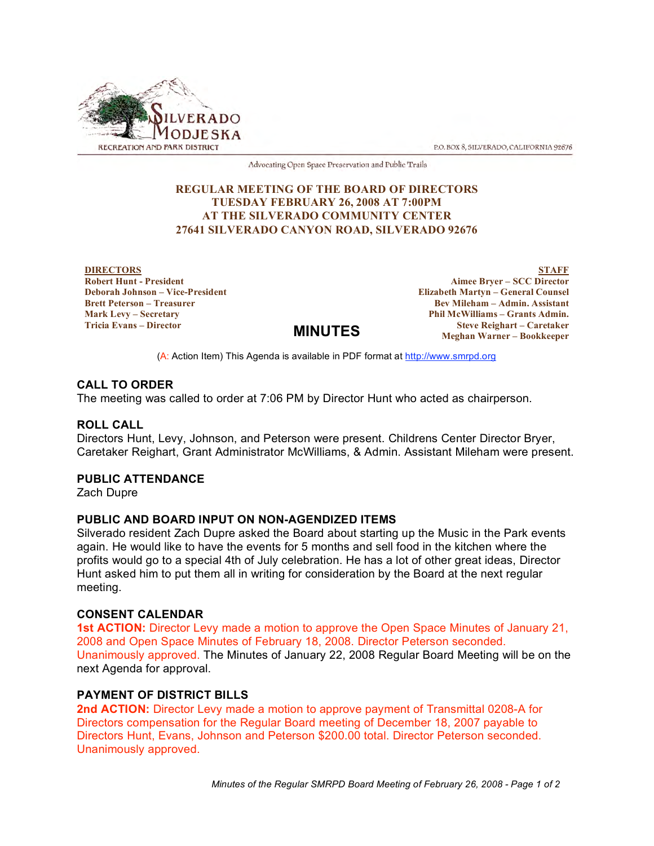

P.O. BOX 8, SILVERADO, CALIFORNIA 92676

Advocating Open Space Preservation and Public Trails

# **REGULAR MEETING OF THE BOARD OF DIRECTORS TUESDAY FEBRUARY 26, 2008 AT 7:00PM AT THE SILVERADO COMMUNITY CENTER 27641 SILVERADO CANYON ROAD, SILVERADO 92676**

**DIRECTORS Robert Hunt - President Deborah Johnson – Vice-President Brett Peterson – Treasurer Mark Levy – Secretary Tricia Evans – Director**

**STAFF Aimee Bryer – SCC Director Elizabeth Martyn – General Counsel Bev Mileham – Admin. Assistant Phil McWilliams – Grants Admin. Steve Reighart – Caretaker Meghan Warner – Bookkeeper**

(A: Action Item) This Agenda is available in PDF format at http://www.smrpd.org

**MINUTES**

## **CALL TO ORDER**

The meeting was called to order at 7:06 PM by Director Hunt who acted as chairperson.

## **ROLL CALL**

Directors Hunt, Levy, Johnson, and Peterson were present. Childrens Center Director Bryer, Caretaker Reighart, Grant Administrator McWilliams, & Admin. Assistant Mileham were present.

## **PUBLIC ATTENDANCE**

Zach Dupre

## **PUBLIC AND BOARD INPUT ON NON-AGENDIZED ITEMS**

Silverado resident Zach Dupre asked the Board about starting up the Music in the Park events again. He would like to have the events for 5 months and sell food in the kitchen where the profits would go to a special 4th of July celebration. He has a lot of other great ideas, Director Hunt asked him to put them all in writing for consideration by the Board at the next regular meeting.

#### **CONSENT CALENDAR**

**1st ACTION:** Director Levy made a motion to approve the Open Space Minutes of January 21, 2008 and Open Space Minutes of February 18, 2008. Director Peterson seconded. Unanimously approved. The Minutes of January 22, 2008 Regular Board Meeting will be on the next Agenda for approval.

# **PAYMENT OF DISTRICT BILLS**

**2nd ACTION:** Director Levy made a motion to approve payment of Transmittal 0208-A for Directors compensation for the Regular Board meeting of December 18, 2007 payable to Directors Hunt, Evans, Johnson and Peterson \$200.00 total. Director Peterson seconded. Unanimously approved.